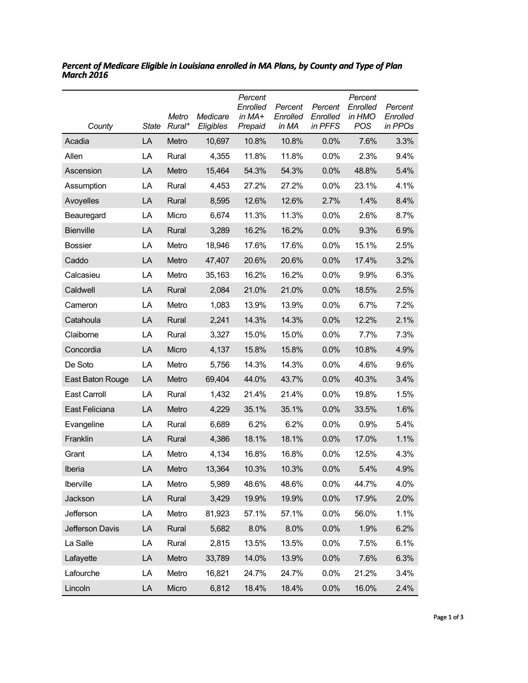| County           | <b>State</b> | Metro<br>Rural* | Medicare<br>Eligibles | Percent<br>Enrolled<br>in MA+<br>Prepaid | Percent<br>Enrolled<br>in MA | Percent<br>Enrolled<br>in PFFS | Percent<br>Enrolled<br>in HMO<br>POS | Percent<br>Enrolled<br>in PPOs |
|------------------|--------------|-----------------|-----------------------|------------------------------------------|------------------------------|--------------------------------|--------------------------------------|--------------------------------|
| Acadia           | LA           | Metro           | 10,697                | 10.8%                                    | 10.8%                        | 0.0%                           | 7.6%                                 | 3.3%                           |
| Allen            | LA           | Rural           | 4,355                 | 11.8%                                    | 11.8%                        | 0.0%                           | 2.3%                                 | 9.4%                           |
| Ascension        | LA           | Metro           | 15,464                | 54.3%                                    | 54.3%                        | 0.0%                           | 48.8%                                | 5.4%                           |
| Assumption       | LA           | Rural           | 4,453                 | 27.2%                                    | 27.2%                        | 0.0%                           | 23.1%                                | 4.1%                           |
| Avoyelles        | LA           | Rural           | 8,595                 | 12.6%                                    | 12.6%                        | 2.7%                           | 1.4%                                 | 8.4%                           |
| Beauregard       | LA           | Micro           | 6,674                 | 11.3%                                    | 11.3%                        | 0.0%                           | 2.6%                                 | 8.7%                           |
| <b>Bienville</b> | LA           | Rural           | 3,289                 | 16.2%                                    | 16.2%                        | 0.0%                           | 9.3%                                 | 6.9%                           |
| <b>Bossier</b>   | LA           | Metro           | 18,946                | 17.6%                                    | 17.6%                        | 0.0%                           | 15.1%                                | 2.5%                           |
| Caddo            | LA           | Metro           | 47,407                | 20.6%                                    | 20.6%                        | 0.0%                           | 17.4%                                | 3.2%                           |
| Calcasieu        | LA           | Metro           | 35,163                | 16.2%                                    | 16.2%                        | 0.0%                           | 9.9%                                 | 6.3%                           |
| Caldwell         | LA           | Rural           | 2,084                 | 21.0%                                    | 21.0%                        | 0.0%                           | 18.5%                                | 2.5%                           |
| Cameron          | LA           | Metro           | 1,083                 | 13.9%                                    | 13.9%                        | 0.0%                           | 6.7%                                 | 7.2%                           |
| Catahoula        | LA           | Rural           | 2,241                 | 14.3%                                    | 14.3%                        | 0.0%                           | 12.2%                                | 2.1%                           |
| Claiborne        | LA           | Rural           | 3,327                 | 15.0%                                    | 15.0%                        | 0.0%                           | 7.7%                                 | 7.3%                           |
| Concordia        | LA           | Micro           | 4,137                 | 15.8%                                    | 15.8%                        | 0.0%                           | 10.8%                                | 4.9%                           |
| De Soto          | LA           | Metro           | 5,756                 | 14.3%                                    | 14.3%                        | 0.0%                           | 4.6%                                 | 9.6%                           |
| East Baton Rouge | LA           | Metro           | 69,404                | 44.0%                                    | 43.7%                        | 0.0%                           | 40.3%                                | 3.4%                           |
| East Carroll     | LA           | Rural           | 1,432                 | 21.4%                                    | 21.4%                        | 0.0%                           | 19.8%                                | 1.5%                           |
| East Feliciana   | LA           | Metro           | 4,229                 | 35.1%                                    | 35.1%                        | 0.0%                           | 33.5%                                | 1.6%                           |
| Evangeline       | LA           | Rural           | 6,689                 | 6.2%                                     | 6.2%                         | 0.0%                           | 0.9%                                 | 5.4%                           |
| Franklin         | LA           | Rural           | 4,386                 | 18.1%                                    | 18.1%                        | 0.0%                           | 17.0%                                | 1.1%                           |
| Grant            | LA           | Metro           | 4,134                 | 16.8%                                    | 16.8%                        | 0.0%                           | 12.5%                                | 4.3%                           |
| Iberia           | LA           | Metro           | 13,364                | 10.3%                                    | 10.3%                        | 0.0%                           | 5.4%                                 | 4.9%                           |
| Iberville        | LA           | Metro           | 5,989                 | 48.6%                                    | 48.6%                        | 0.0%                           | 44.7%                                | 4.0%                           |
| Jackson          | LA           | Rural           | 3,429                 | 19.9%                                    | 19.9%                        | 0.0%                           | 17.9%                                | 2.0%                           |
| Jefferson        | LA           | Metro           | 81,923                | 57.1%                                    | 57.1%                        | 0.0%                           | 56.0%                                | 1.1%                           |
| Jefferson Davis  | LA           | Rural           | 5,682                 | 8.0%                                     | 8.0%                         | 0.0%                           | 1.9%                                 | 6.2%                           |
| La Salle         | LA           | Rural           | 2,815                 | 13.5%                                    | 13.5%                        | 0.0%                           | 7.5%                                 | 6.1%                           |
| Lafayette        | LA           | Metro           | 33,789                | 14.0%                                    | 13.9%                        | 0.0%                           | 7.6%                                 | 6.3%                           |
| Lafourche        | LA           | Metro           | 16,821                | 24.7%                                    | 24.7%                        | 0.0%                           | 21.2%                                | 3.4%                           |
| Lincoln          | LA           | Micro           | 6,812                 | 18.4%                                    | 18.4%                        | 0.0%                           | 16.0%                                | 2.4%                           |

*Percent of Medicare Eligible in Louisiana enrolled in MA Plans, by County and Type of Plan March 2016*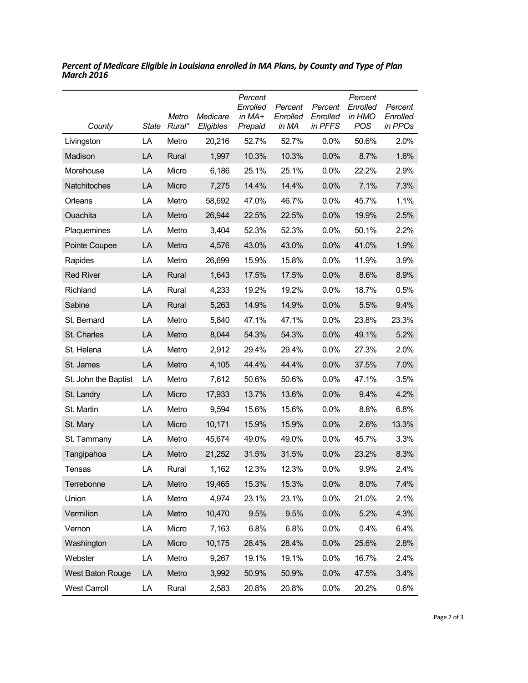| County                  | <b>State</b> | Metro<br>Rural* | Medicare<br>Eligibles | Percent<br>Enrolled<br>in MA+<br>Prepaid | Percent<br>Enrolled<br>in MA | Percent<br>Enrolled<br>in PFFS | Percent<br>Enrolled<br>in HMO<br><b>POS</b> | Percent<br>Enrolled<br>in PPOs |
|-------------------------|--------------|-----------------|-----------------------|------------------------------------------|------------------------------|--------------------------------|---------------------------------------------|--------------------------------|
| Livingston              | LA           | Metro           | 20,216                | 52.7%                                    | 52.7%                        | 0.0%                           | 50.6%                                       | 2.0%                           |
| Madison                 | LA           | Rural           | 1,997                 | 10.3%                                    | 10.3%                        | 0.0%                           | 8.7%                                        | 1.6%                           |
| Morehouse               | LA           | Micro           | 6,186                 | 25.1%                                    | 25.1%                        | 0.0%                           | 22.2%                                       | 2.9%                           |
| Natchitoches            | LA           | Micro           | 7,275                 | 14.4%                                    | 14.4%                        | 0.0%                           | 7.1%                                        | 7.3%                           |
| Orleans                 | LA           | Metro           | 58,692                | 47.0%                                    | 46.7%                        | $0.0\%$                        | 45.7%                                       | 1.1%                           |
| Ouachita                | LA           | Metro           | 26,944                | 22.5%                                    | 22.5%                        | 0.0%                           | 19.9%                                       | 2.5%                           |
| Plaquemines             | LA           | Metro           | 3,404                 | 52.3%                                    | 52.3%                        | 0.0%                           | 50.1%                                       | 2.2%                           |
| Pointe Coupee           | LA           | Metro           | 4,576                 | 43.0%                                    | 43.0%                        | 0.0%                           | 41.0%                                       | 1.9%                           |
| Rapides                 | LA           | Metro           | 26,699                | 15.9%                                    | 15.8%                        | 0.0%                           | 11.9%                                       | 3.9%                           |
| <b>Red River</b>        | LA           | Rural           | 1,643                 | 17.5%                                    | 17.5%                        | 0.0%                           | 8.6%                                        | 8.9%                           |
| Richland                | LA           | Rural           | 4,233                 | 19.2%                                    | 19.2%                        | 0.0%                           | 18.7%                                       | 0.5%                           |
| Sabine                  | LA           | Rural           | 5,263                 | 14.9%                                    | 14.9%                        | 0.0%                           | 5.5%                                        | 9.4%                           |
| St. Bernard             | LA           | Metro           | 5,840                 | 47.1%                                    | 47.1%                        | $0.0\%$                        | 23.8%                                       | 23.3%                          |
| St. Charles             | LA           | Metro           | 8,044                 | 54.3%                                    | 54.3%                        | 0.0%                           | 49.1%                                       | 5.2%                           |
| St. Helena              | LA           | Metro           | 2,912                 | 29.4%                                    | 29.4%                        | 0.0%                           | 27.3%                                       | 2.0%                           |
| St. James               | LA           | Metro           | 4,105                 | 44.4%                                    | 44.4%                        | 0.0%                           | 37.5%                                       | 7.0%                           |
| St. John the Baptist    | LA           | Metro           | 7,612                 | 50.6%                                    | 50.6%                        | 0.0%                           | 47.1%                                       | 3.5%                           |
| St. Landry              | LA           | Micro           | 17,933                | 13.7%                                    | 13.6%                        | 0.0%                           | 9.4%                                        | 4.2%                           |
| St. Martin              | LA           | Metro           | 9,594                 | 15.6%                                    | 15.6%                        | 0.0%                           | 8.8%                                        | 6.8%                           |
| St. Mary                | LA           | Micro           | 10,171                | 15.9%                                    | 15.9%                        | 0.0%                           | 2.6%                                        | 13.3%                          |
| St. Tammany             | LA           | Metro           | 45,674                | 49.0%                                    | 49.0%                        | $0.0\%$                        | 45.7%                                       | 3.3%                           |
| Tangipahoa              | LA           | Metro           | 21,252                | 31.5%                                    | 31.5%                        | 0.0%                           | 23.2%                                       | 8.3%                           |
| Tensas                  | LA           | Rural           | 1,162                 | 12.3%                                    | 12.3%                        | 0.0%                           | 9.9%                                        | 2.4%                           |
| Terrebonne              | LA           | Metro           | 19,465                | 15.3%                                    | 15.3%                        | 0.0%                           | 8.0%                                        | 7.4%                           |
| Union                   | LA           | Metro           | 4,974                 | 23.1%                                    | 23.1%                        | 0.0%                           | 21.0%                                       | 2.1%                           |
| Vermilion               | LA           | Metro           | 10,470                | 9.5%                                     | 9.5%                         | 0.0%                           | 5.2%                                        | 4.3%                           |
| Vernon                  | LA           | Micro           | 7,163                 | 6.8%                                     | 6.8%                         | 0.0%                           | 0.4%                                        | 6.4%                           |
| Washington              | LA           | Micro           | 10,175                | 28.4%                                    | 28.4%                        | 0.0%                           | 25.6%                                       | 2.8%                           |
| Webster                 | LA           | Metro           | 9,267                 | 19.1%                                    | 19.1%                        | 0.0%                           | 16.7%                                       | 2.4%                           |
| <b>West Baton Rouge</b> | LA           | Metro           | 3,992                 | 50.9%                                    | 50.9%                        | 0.0%                           | 47.5%                                       | 3.4%                           |
| <b>West Carroll</b>     | LA           | Rural           | 2,583                 | 20.8%                                    | 20.8%                        | 0.0%                           | 20.2%                                       | 0.6%                           |

*Percent of Medicare Eligible in Louisiana enrolled in MA Plans, by County and Type of Plan March 2016*